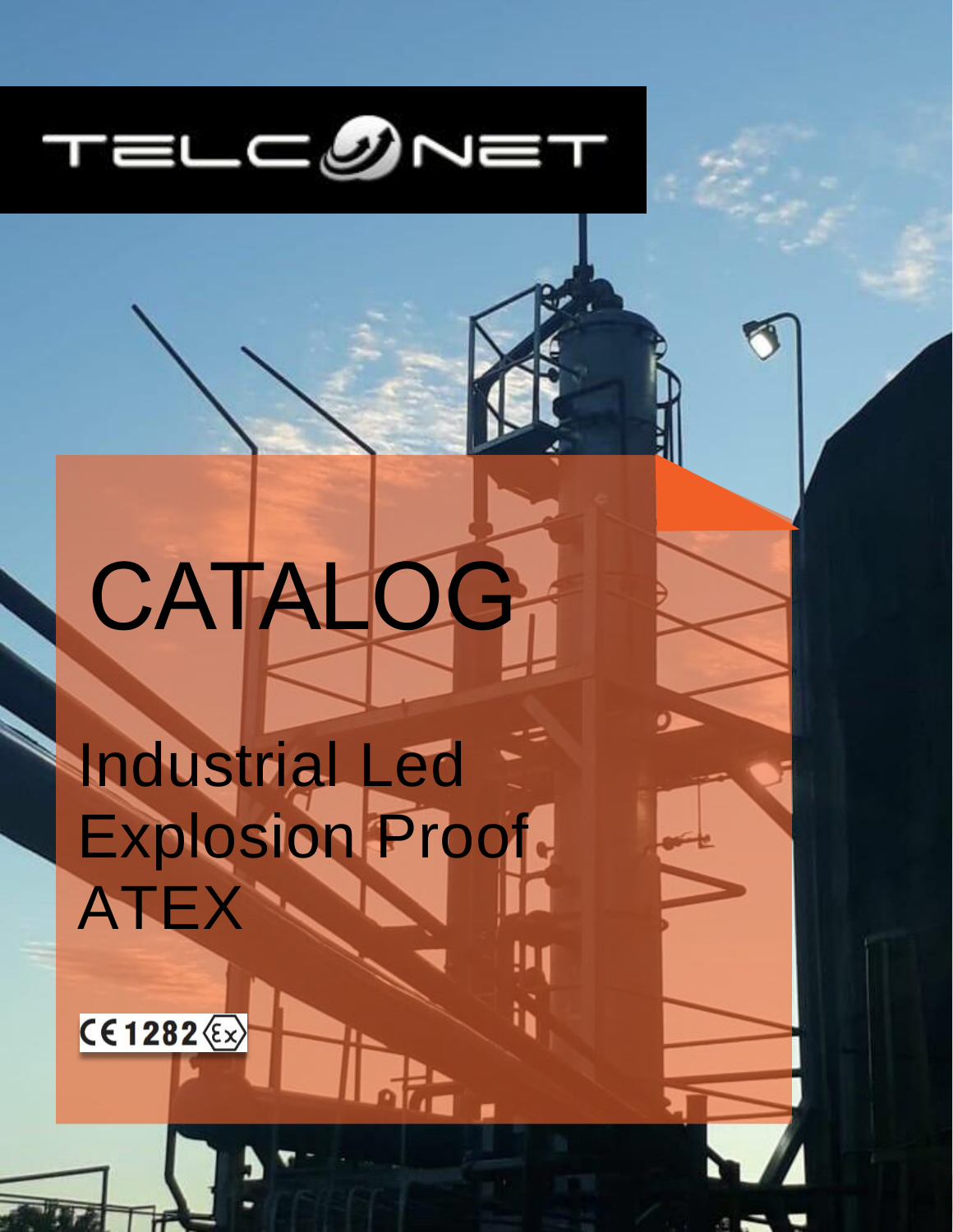

# CATALOG

Industrial Led Explosion Proof ATEX

www.teleconet.com

**CE1282** (Ex)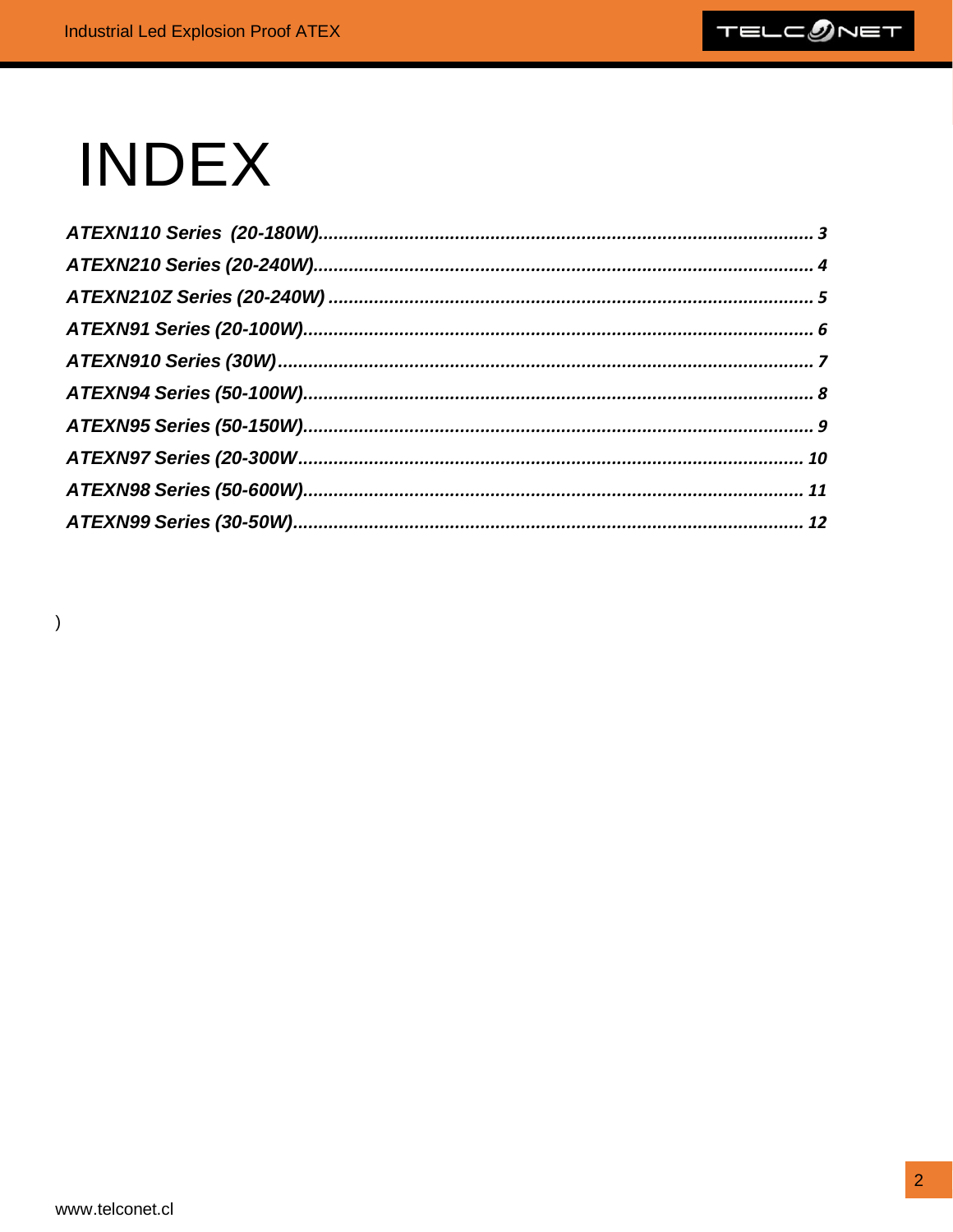

# **INDEX**

<span id="page-1-0"></span> $\big)$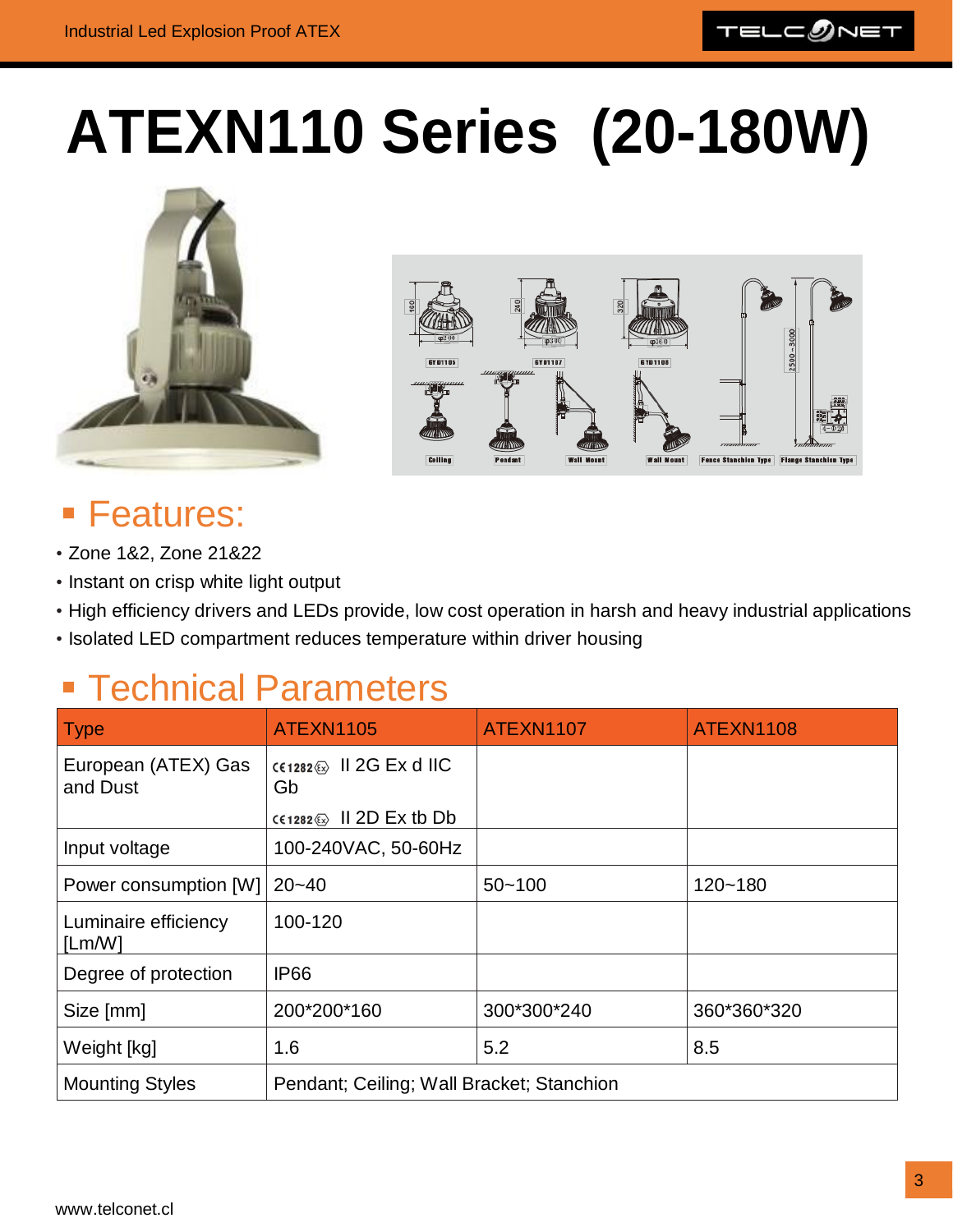## **ATEXN110 Series (20-180W)**





#### **E** Features:

- Zone 1&2, Zone 21&22
- Instant on crisp white light output
- High efficiency drivers and LEDs provide, low cost operation in harsh and heavy industrial applications
- Isolated LED compartment reduces temperature within driver housing

| <b>Type</b>                     | <b>ATEXN1105</b>                                                  | ATEXN1107   | ATEXN1108   |
|---------------------------------|-------------------------------------------------------------------|-------------|-------------|
| European (ATEX) Gas<br>and Dust | CE1282 $\&$ II 2G Ex d IIC<br>Gb<br>$c \in 1282 \$ II 2D Ex tb Db |             |             |
| Input voltage                   | 100-240VAC, 50-60Hz                                               |             |             |
| Power consumption [W]           | $20 - 40$                                                         | $50 - 100$  | $120 - 180$ |
| Luminaire efficiency<br>[Lm/W]  | 100-120                                                           |             |             |
| Degree of protection            | <b>IP66</b>                                                       |             |             |
| Size [mm]                       | 200*200*160                                                       | 300*300*240 | 360*360*320 |
| Weight [kg]                     | 1.6                                                               | 5.2         | 8.5         |
| <b>Mounting Styles</b>          | Pendant; Ceiling; Wall Bracket; Stanchion                         |             |             |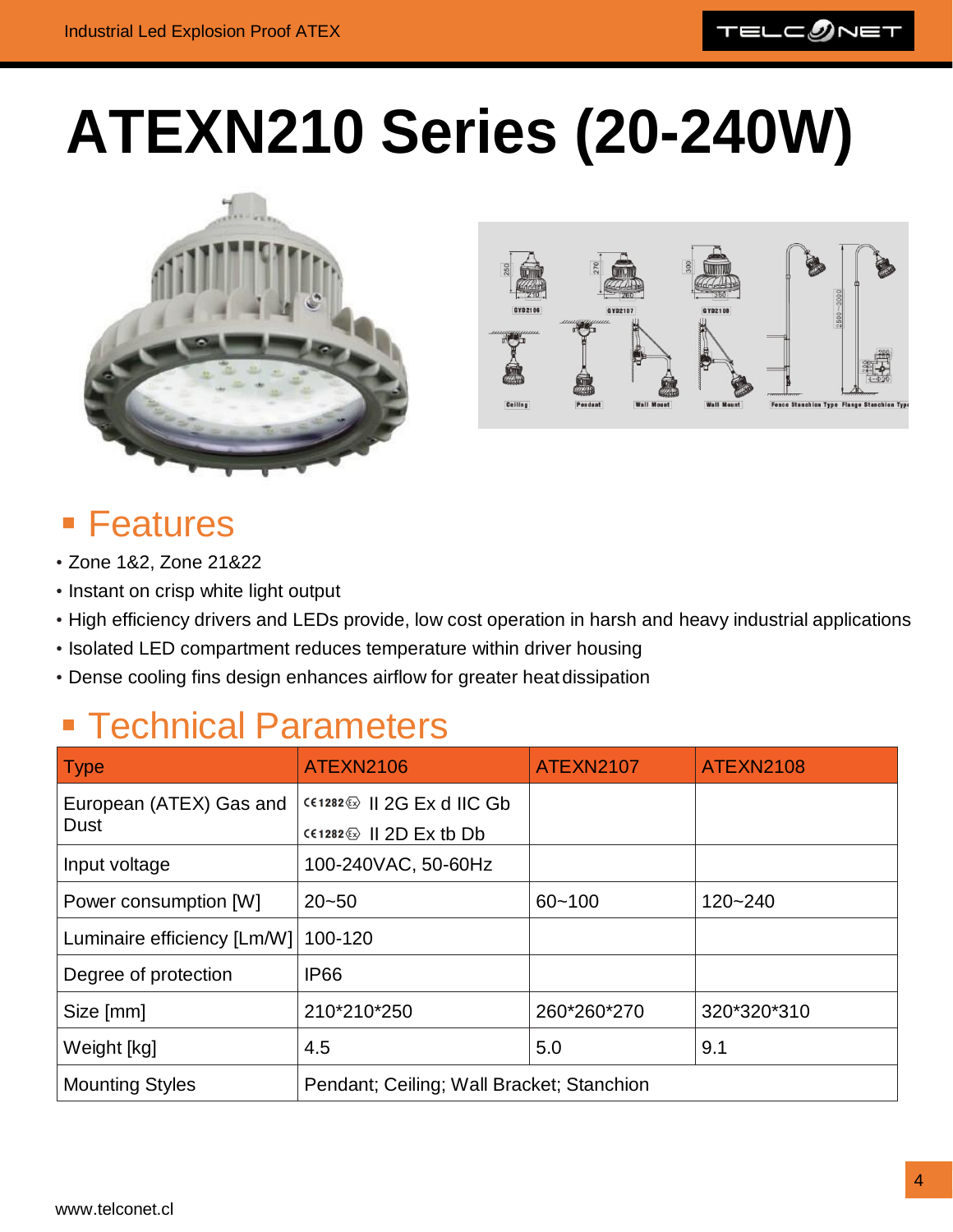

# <span id="page-3-0"></span>**ATEXN210 Series (20-240W)**





#### ■ Features

- Zone 1&2, Zone 21&22
- Instant on crisp white light output
- High efficiency drivers and LEDs provide, low cost operation in harsh and heavy industrial applications
- Isolated LED compartment reduces temperature within driver housing
- Dense cooling fins design enhances airflow for greater heat dissipation

<span id="page-3-1"></span>

| <b>Type</b>                 | <b>ATEXN2106</b>                                      | <b>ATEXN2107</b> | ATEXN2108   |
|-----------------------------|-------------------------------------------------------|------------------|-------------|
| European (ATEX) Gas and     | $CC1282 \$ II 2G Ex d IIC Gb                          |                  |             |
| Dust                        | $C(1282 \circledcirc \text{II } 2D \to \text{K } 1D)$ |                  |             |
| Input voltage               | 100-240VAC, 50-60Hz                                   |                  |             |
| Power consumption [W]       | $20 - 50$                                             | $60 - 100$       | $120 - 240$ |
| Luminaire efficiency [Lm/W] | 100-120                                               |                  |             |
| Degree of protection        | <b>IP66</b>                                           |                  |             |
| Size [mm]                   | 210*210*250                                           | 260*260*270      | 320*320*310 |
| Weight [kg]                 | 4.5                                                   | 5.0              | 9.1         |
| <b>Mounting Styles</b>      | Pendant; Ceiling; Wall Bracket; Stanchion             |                  |             |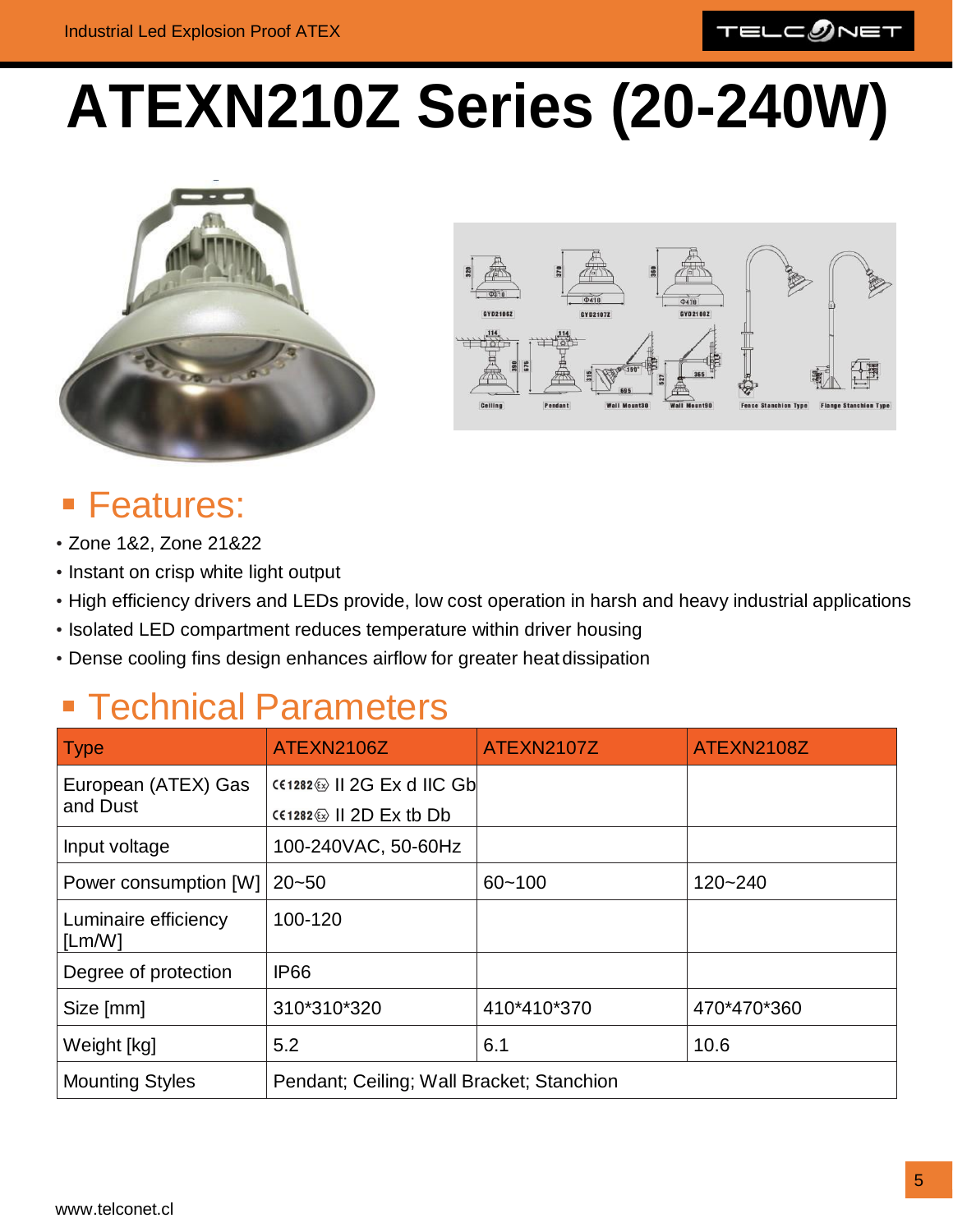

# **ATEXN210Z Series (20-240W)**





#### **Features:**

- Zone 1&2, Zone 21&22
- Instant on crisp white light output
- High efficiency drivers and LEDs provide, low cost operation in harsh and heavy industrial applications
- Isolated LED compartment reduces temperature within driver housing
- Dense cooling fins design enhances airflow for greater heat dissipation

| <b>Type</b>                     | ATEXN2106Z                                                     | ATEXN2107Z  | <b>ATEXN2108Z</b> |
|---------------------------------|----------------------------------------------------------------|-------------|-------------------|
| European (ATEX) Gas<br>and Dust | $CC1282 \otimes   2G Ex d   C Gb  $<br>$C(1282)$   2D Ex tb Db |             |                   |
| Input voltage                   | 100-240VAC, 50-60Hz                                            |             |                   |
| Power consumption [W]           | $20 - 50$                                                      | $60 - 100$  | $120 - 240$       |
| Luminaire efficiency<br>[Lm/W]  | 100-120                                                        |             |                   |
| Degree of protection            | <b>IP66</b>                                                    |             |                   |
| Size [mm]                       | 310*310*320                                                    | 410*410*370 | 470*470*360       |
| Weight [kg]                     | 5.2                                                            | 6.1         | 10.6              |
| <b>Mounting Styles</b>          | Pendant; Ceiling; Wall Bracket; Stanchion                      |             |                   |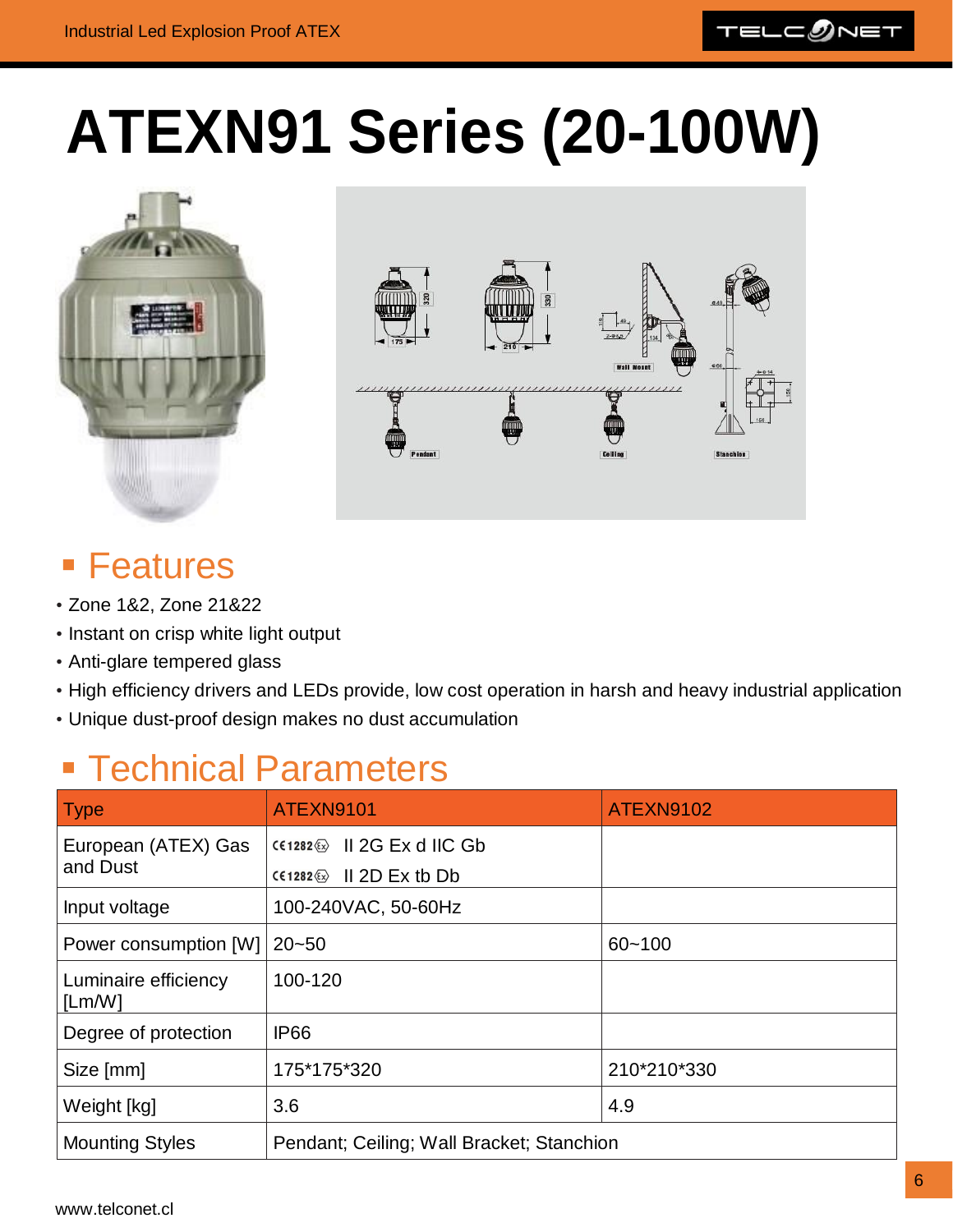

## <span id="page-5-0"></span>**ATEXN91 Series (20-100W)**





#### **E** Features

- Zone 1&2, Zone 21&22
- Instant on crisp white light output
- Anti-glare tempered glass
- High efficiency drivers and LEDs provide, low cost operation in harsh and heavy industrial application
- Unique dust-proof design makes no dust accumulation

### **Exercise Brandbers**

| <b>Type</b>                    | ATEXN9101                                  | <b>ATEXN9102</b> |
|--------------------------------|--------------------------------------------|------------------|
| European (ATEX) Gas            | $CC1282 \circledcirc$ II 2G Ex d IIC Gb    |                  |
| and Dust                       | $C(1282 \circledcirc \quad   $ 2D Ex tb Db |                  |
| Input voltage                  | 100-240VAC, 50-60Hz                        |                  |
| Power consumption [W]          | $ 20 - 50$                                 | $60 - 100$       |
| Luminaire efficiency<br>[Lm/W] | 100-120                                    |                  |
| Degree of protection           | <b>IP66</b>                                |                  |
| Size [mm]                      | 175*175*320                                | 210*210*330      |
| Weight [kg]                    | 3.6                                        | 4.9              |
| <b>Mounting Styles</b>         | Pendant; Ceiling; Wall Bracket; Stanchion  |                  |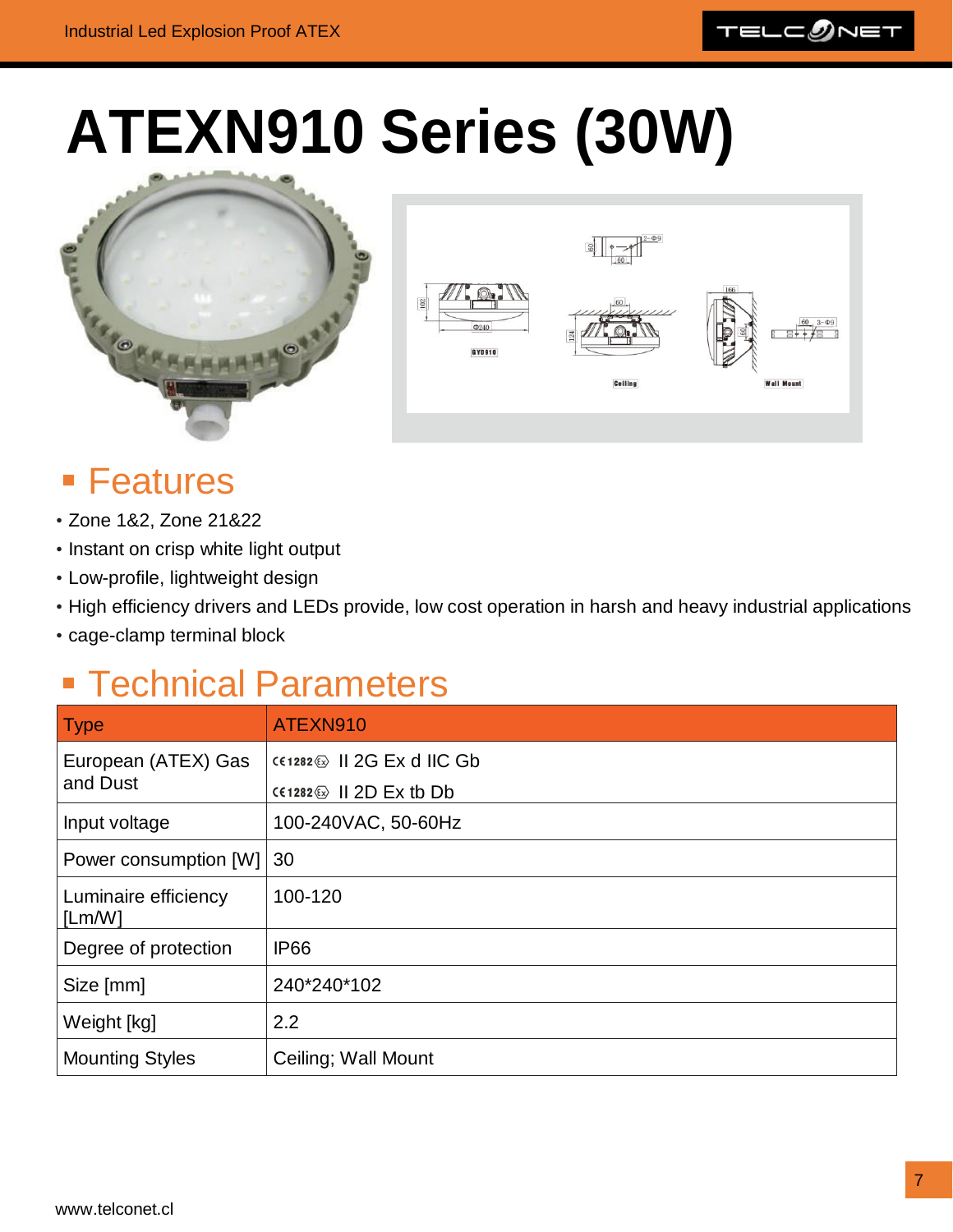

### <span id="page-6-0"></span>**ATEXN910 Series (30W)**





### ■ Features

- Zone 1&2, Zone 21&22
- Instant on crisp white light output
- Low-profile, lightweight design
- High efficiency drivers and LEDs provide, low cost operation in harsh and heavy industrial applications
- cage-clamp terminal block

| Type                           | ATEXN910                                              |
|--------------------------------|-------------------------------------------------------|
| European (ATEX) Gas            | $CC1282 \$ II 2G Ex d IIC Gb                          |
| and Dust                       | $C(1282 \circledcirc \text{II } 2D \to \text{K } 1D)$ |
| Input voltage                  | 100-240VAC, 50-60Hz                                   |
| Power consumption [W]          | $ 30\rangle$                                          |
| Luminaire efficiency<br>[Lm/W] | 100-120                                               |
| Degree of protection           | <b>IP66</b>                                           |
| Size [mm]                      | 240*240*102                                           |
| Weight [kg]                    | 2.2                                                   |
| <b>Mounting Styles</b>         | Ceiling; Wall Mount                                   |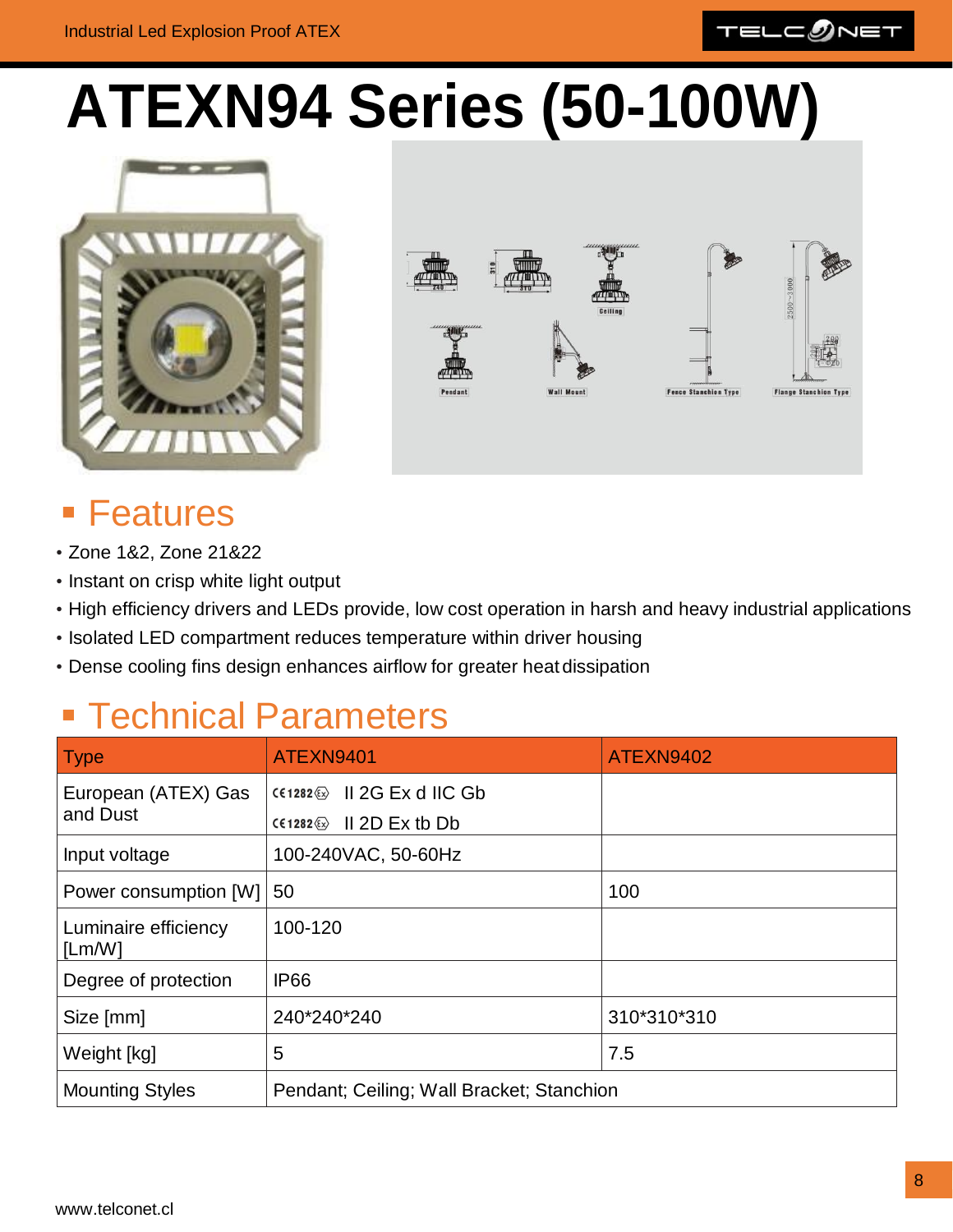

### <span id="page-7-0"></span>**ATEXN94 Series (50-100W)**





#### ■ Features

- Zone 1&2, Zone 21&22
- Instant on crisp white light output
- High efficiency drivers and LEDs provide, low cost operation in harsh and heavy industrial applications
- Isolated LED compartment reduces temperature within driver housing
- Dense cooling fins design enhances airflow for greater heat dissipation

| <b>Type</b>                     | ATEXN9401                                 | ATEXN9402   |
|---------------------------------|-------------------------------------------|-------------|
| European (ATEX) Gas<br>and Dust | $CC1282 \circledS$ II 2G Ex d IIC Gb      |             |
|                                 | $II$ 2D Ex tb Db<br>$C61282 \&$           |             |
| Input voltage                   | 100-240VAC, 50-60Hz                       |             |
| Power consumption [W]           | 50                                        | 100         |
| Luminaire efficiency<br>[Lm/W]  | 100-120                                   |             |
| Degree of protection            | <b>IP66</b>                               |             |
| Size [mm]                       | 240*240*240                               | 310*310*310 |
| Weight [kg]                     | 5                                         | 7.5         |
| <b>Mounting Styles</b>          | Pendant; Ceiling; Wall Bracket; Stanchion |             |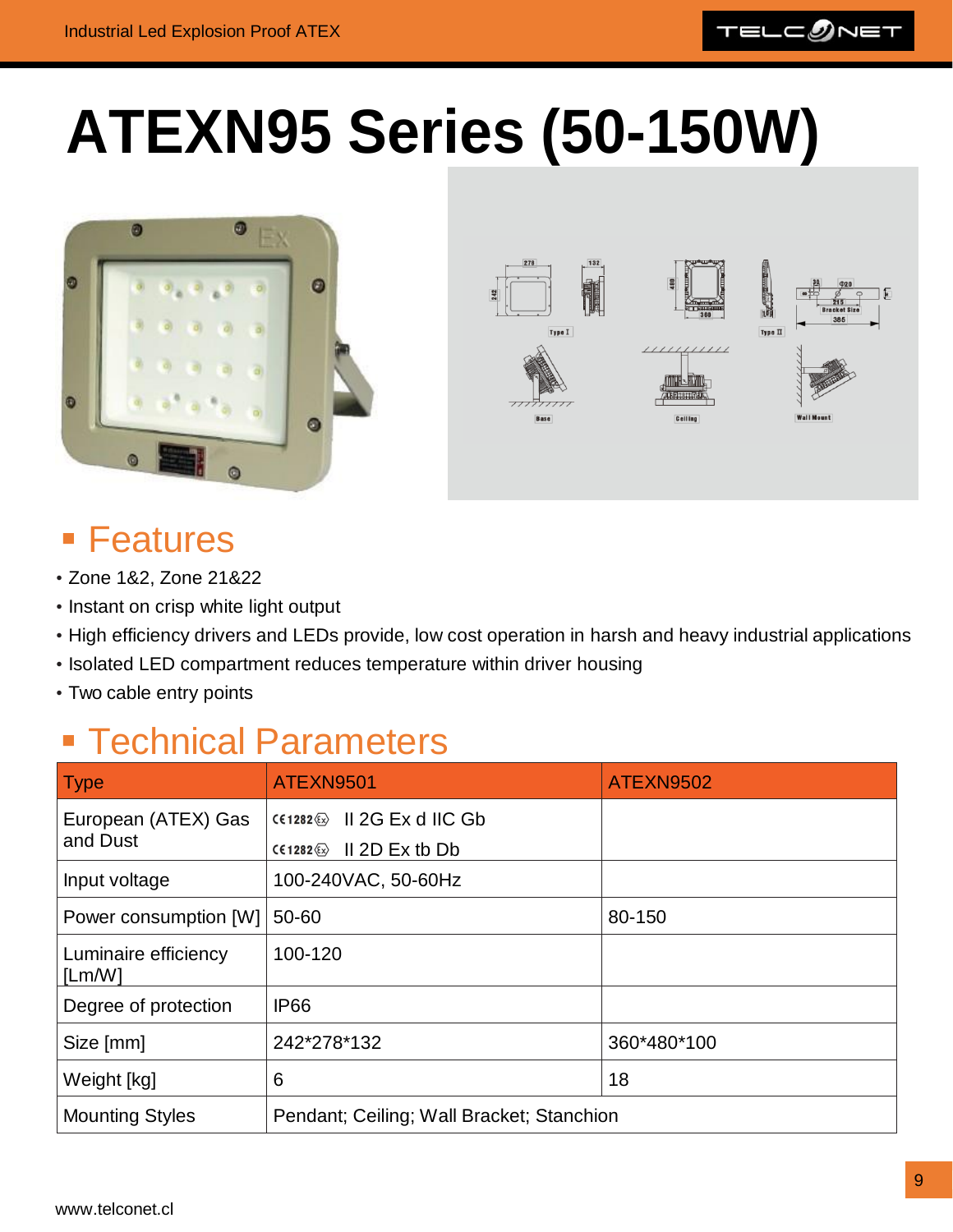

### <span id="page-8-0"></span>**ATEXN95 Series (50-150W)**





### ■ Features

- Zone 1&2, Zone 21&22
- Instant on crisp white light output
- High efficiency drivers and LEDs provide, low cost operation in harsh and heavy industrial applications
- Isolated LED compartment reduces temperature within driver housing
- Two cable entry points

| <b>Type</b>                    | ATEXN9501                                                              | ATEXN9502   |
|--------------------------------|------------------------------------------------------------------------|-------------|
| European (ATEX) Gas            | $CC1282 \otimes$ II 2G Ex d IIC Gb                                     |             |
| and Dust                       | $II$ 2D Ex tb Db<br>$C \in 1282 \langle \overline{\epsilon}_x \rangle$ |             |
| Input voltage                  | 100-240VAC, 50-60Hz                                                    |             |
| Power consumption [W]          | 50-60                                                                  | 80-150      |
| Luminaire efficiency<br>[Lm/W] | 100-120                                                                |             |
| Degree of protection           | <b>IP66</b>                                                            |             |
| Size [mm]                      | 242*278*132                                                            | 360*480*100 |
| Weight [kg]                    | 6                                                                      | 18          |
| <b>Mounting Styles</b>         | Pendant; Ceiling; Wall Bracket; Stanchion                              |             |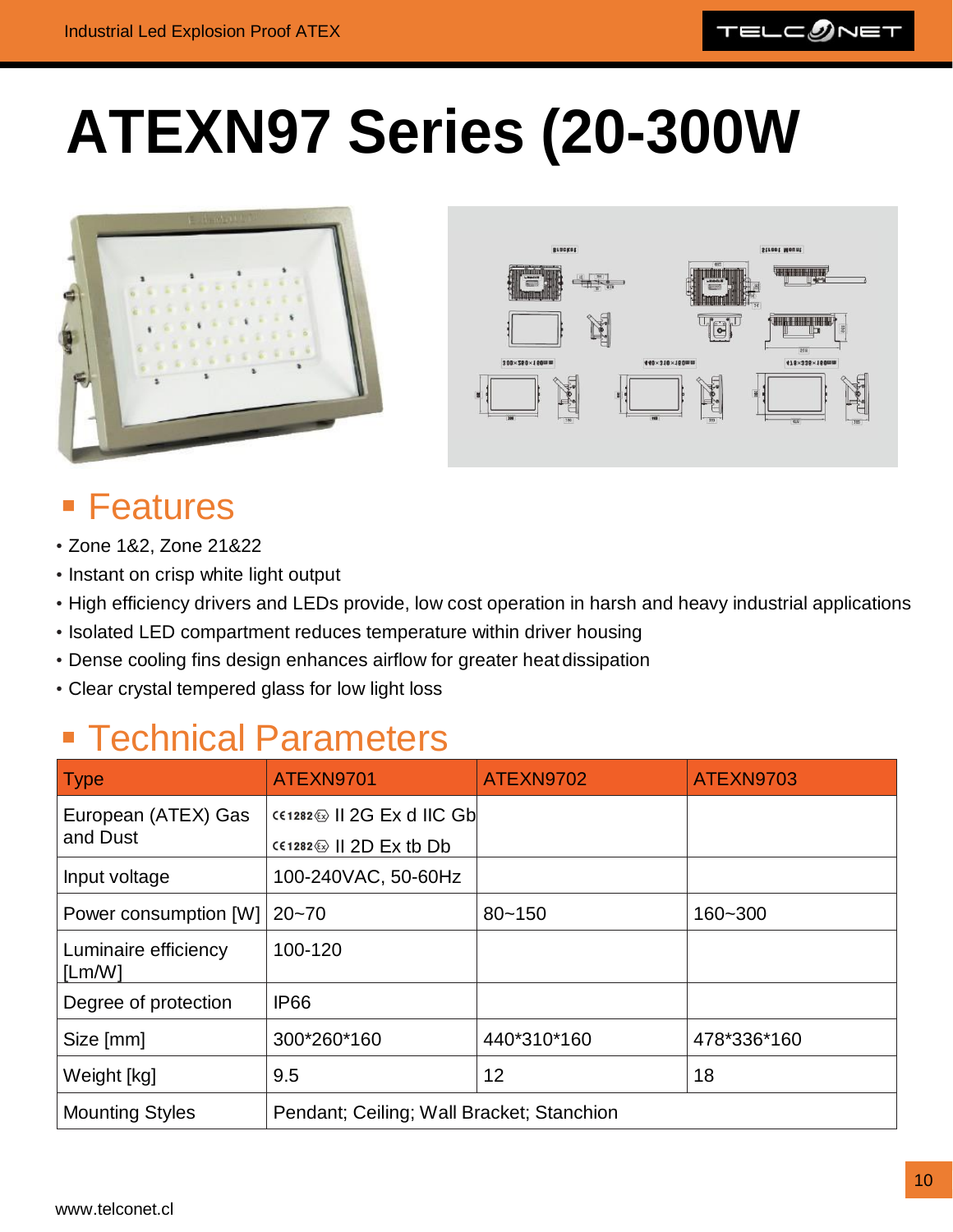

### <span id="page-9-0"></span>**ATEXN97 Series (20-300W**





#### ■ Features

- Zone 1&2, Zone 21&22
- Instant on crisp white light output
- High efficiency drivers and LEDs provide, low cost operation in harsh and heavy industrial applications
- Isolated LED compartment reduces temperature within driver housing
- Dense cooling fins design enhances airflow for greater heat dissipation
- Clear crystal tempered glass for low light loss

| <b>Type</b>                     | ATEXN9701                                                          | ATEXN9702   | ATEXN9703   |
|---------------------------------|--------------------------------------------------------------------|-------------|-------------|
| European (ATEX) Gas<br>and Dust | $CC1282 \circledcirc$    2G Ex d IIC Gb<br>$C(1282)$   2D Ex tb Db |             |             |
| Input voltage                   | 100-240VAC, 50-60Hz                                                |             |             |
| Power consumption [W]           | $ 20 - 70 $                                                        | $80 - 150$  | 160~300     |
| Luminaire efficiency<br>[Lm/W]  | 100-120                                                            |             |             |
| Degree of protection            | <b>IP66</b>                                                        |             |             |
| Size [mm]                       | 300*260*160                                                        | 440*310*160 | 478*336*160 |
| Weight [kg]                     | 9.5                                                                | 12          | 18          |
| <b>Mounting Styles</b>          | Pendant; Ceiling; Wall Bracket; Stanchion                          |             |             |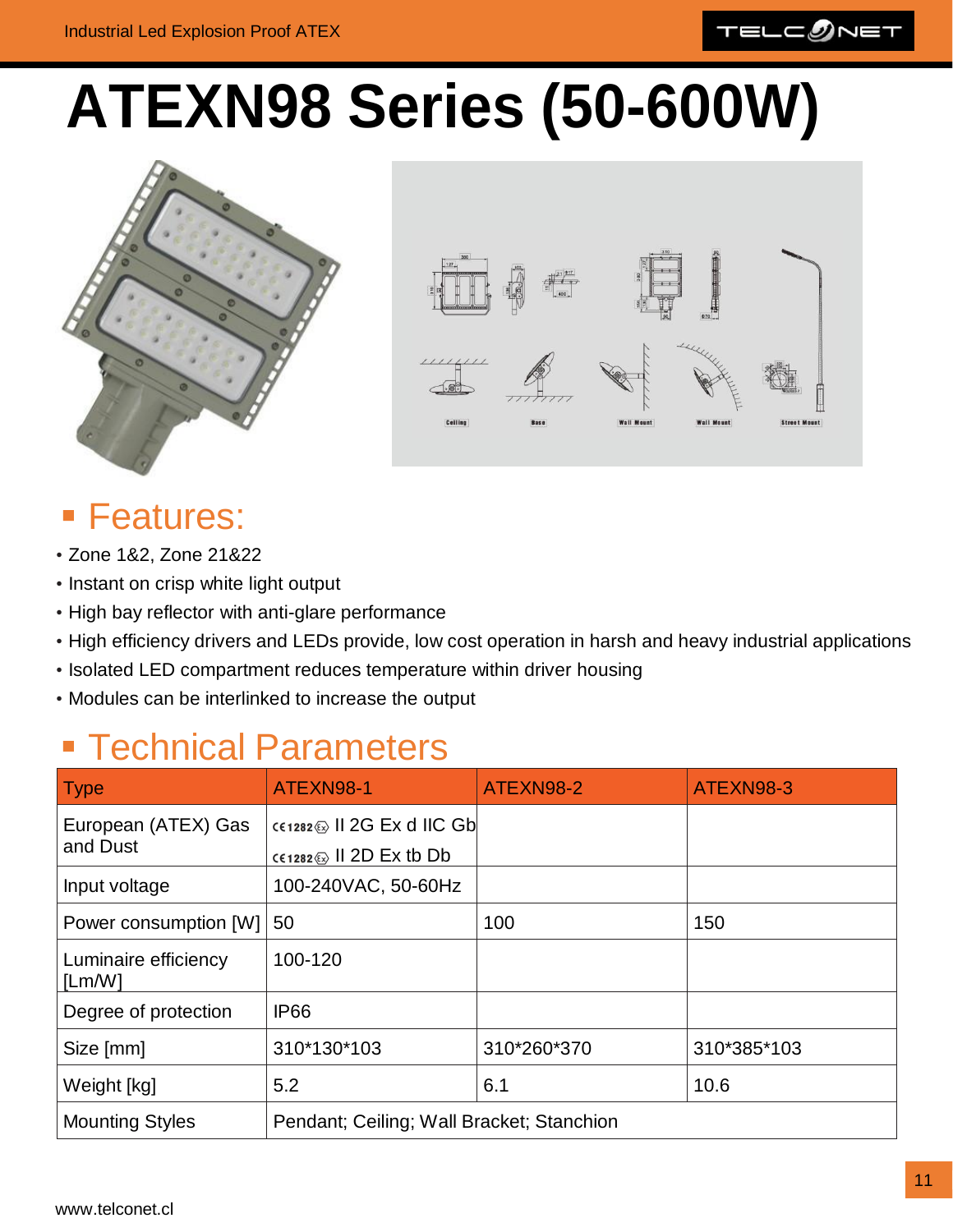

### <span id="page-10-0"></span>**ATEXN98 Series (50-600W)**





#### **E** Features:

- Zone 1&2, Zone 21&22
- Instant on crisp white light output
- High bay reflector with anti-glare performance
- High efficiency drivers and LEDs provide, low cost operation in harsh and heavy industrial applications
- Isolated LED compartment reduces temperature within driver housing
- Modules can be interlinked to increase the output

### **Exercise Brandbers**

| <b>Type</b>                     | ATEXN98-1                                                                             | ATEXN98-2   | ATEXN98-3   |
|---------------------------------|---------------------------------------------------------------------------------------|-------------|-------------|
| European (ATEX) Gas<br>and Dust | CE1282 & II 2G Ex d IIC Gb<br>$c \in 1282 \text{ (} \sqrt{2} \text{)}$ II 2D Ex tb Db |             |             |
| Input voltage                   | 100-240VAC, 50-60Hz                                                                   |             |             |
| Power consumption [W]           | 50                                                                                    | 100         | 150         |
| Luminaire efficiency<br>[Lm/W]  | 100-120                                                                               |             |             |
| Degree of protection            | <b>IP66</b>                                                                           |             |             |
| Size [mm]                       | 310*130*103                                                                           | 310*260*370 | 310*385*103 |
| Weight [kg]                     | 5.2                                                                                   | 6.1         | 10.6        |
| <b>Mounting Styles</b>          | Pendant; Ceiling; Wall Bracket; Stanchion                                             |             |             |